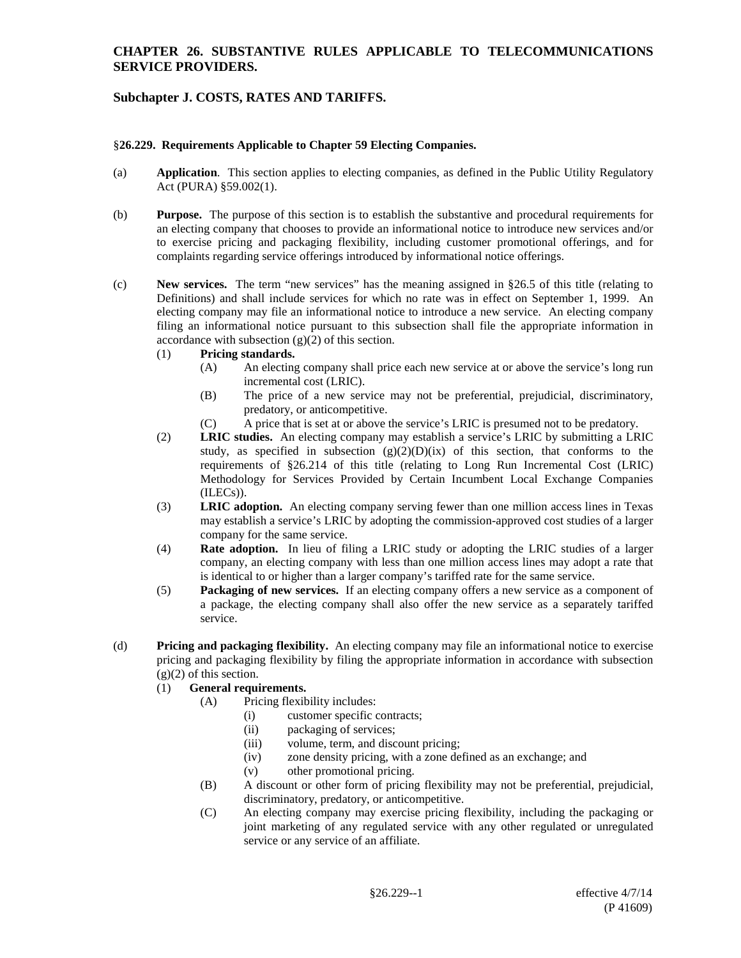# **Subchapter J. COSTS, RATES AND TARIFFS.**

#### §**26.229. Requirements Applicable to Chapter 59 Electing Companies.**

- (a) **Application**. This section applies to electing companies, as defined in the Public Utility Regulatory Act (PURA) §59.002(1).
- (b) **Purpose.** The purpose of this section is to establish the substantive and procedural requirements for an electing company that chooses to provide an informational notice to introduce new services and/or to exercise pricing and packaging flexibility, including customer promotional offerings, and for complaints regarding service offerings introduced by informational notice offerings.
- (c) **New services.** The term "new services" has the meaning assigned in §26.5 of this title (relating to Definitions) and shall include services for which no rate was in effect on September 1, 1999. An electing company may file an informational notice to introduce a new service. An electing company filing an informational notice pursuant to this subsection shall file the appropriate information in accordance with subsection (g)(2) of this section.
	- (1) **Pricing standards.**
		- (A) An electing company shall price each new service at or above the service's long run incremental cost (LRIC).
		- (B) The price of a new service may not be preferential, prejudicial, discriminatory, predatory, or anticompetitive.
		- (C) A price that is set at or above the service's LRIC is presumed not to be predatory.
	- (2) **LRIC studies.** An electing company may establish a service's LRIC by submitting a LRIC study, as specified in subsection  $(g)(2)(D)(ix)$  of this section, that conforms to the requirements of §26.214 of this title (relating to Long Run Incremental Cost (LRIC) Methodology for Services Provided by Certain Incumbent Local Exchange Companies (ILECs)).
	- (3) **LRIC adoption.** An electing company serving fewer than one million access lines in Texas may establish a service's LRIC by adopting the commission-approved cost studies of a larger company for the same service.
	- (4) **Rate adoption.** In lieu of filing a LRIC study or adopting the LRIC studies of a larger company, an electing company with less than one million access lines may adopt a rate that is identical to or higher than a larger company's tariffed rate for the same service.
	- (5) **Packaging of new services.** If an electing company offers a new service as a component of a package, the electing company shall also offer the new service as a separately tariffed service.
- (d) **Pricing and packaging flexibility.** An electing company may file an informational notice to exercise pricing and packaging flexibility by filing the appropriate information in accordance with subsection  $(g)(2)$  of this section.
	- (1) **General requirements.**
		- (A) Pricing flexibility includes:
			- (i) customer specific contracts;
				- (ii) packaging of services;
				- (iii) volume, term, and discount pricing;
				- $(iv)$  zone density pricing, with a zone defined as an exchange; and  $(v)$  other promotional pricing.
				- other promotional pricing.
		- (B) A discount or other form of pricing flexibility may not be preferential, prejudicial, discriminatory, predatory, or anticompetitive.
		- (C) An electing company may exercise pricing flexibility, including the packaging or joint marketing of any regulated service with any other regulated or unregulated service or any service of an affiliate.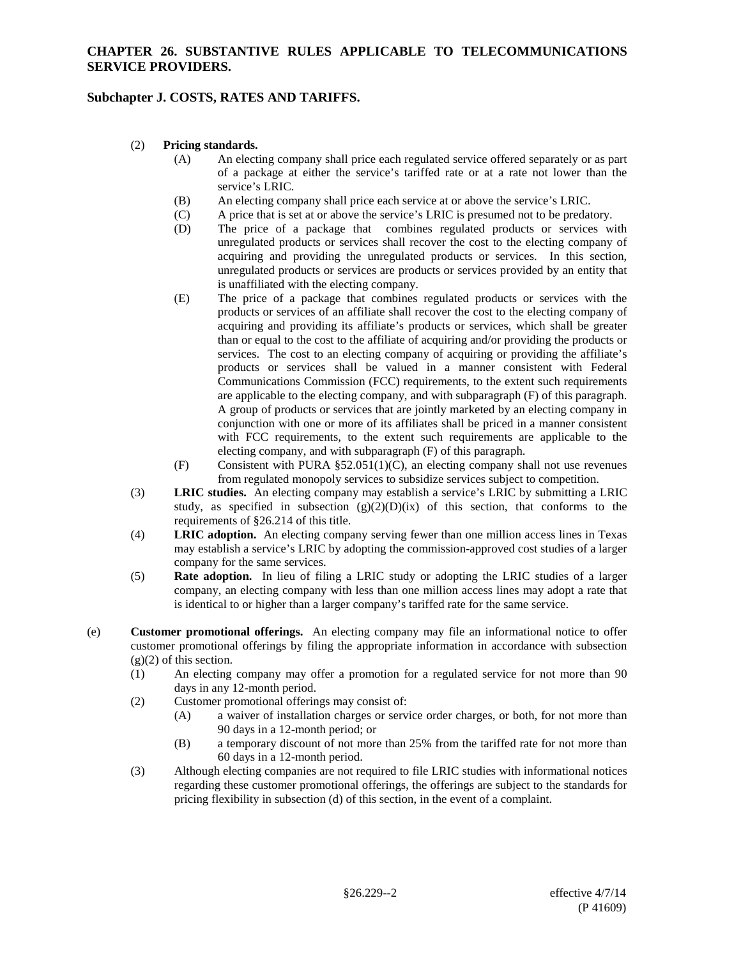# **Subchapter J. COSTS, RATES AND TARIFFS.**

#### (2) **Pricing standards.**

- (A) An electing company shall price each regulated service offered separately or as part of a package at either the service's tariffed rate or at a rate not lower than the service's LRIC.
- (B) An electing company shall price each service at or above the service's LRIC.
- (C) A price that is set at or above the service's LRIC is presumed not to be predatory.<br>
(D) The price of a package that combines regulated products or services w
- The price of a package that combines regulated products or services with unregulated products or services shall recover the cost to the electing company of acquiring and providing the unregulated products or services. In this section, unregulated products or services are products or services provided by an entity that is unaffiliated with the electing company.
- (E) The price of a package that combines regulated products or services with the products or services of an affiliate shall recover the cost to the electing company of acquiring and providing its affiliate's products or services, which shall be greater than or equal to the cost to the affiliate of acquiring and/or providing the products or services. The cost to an electing company of acquiring or providing the affiliate's products or services shall be valued in a manner consistent with Federal Communications Commission (FCC) requirements, to the extent such requirements are applicable to the electing company, and with subparagraph (F) of this paragraph. A group of products or services that are jointly marketed by an electing company in conjunction with one or more of its affiliates shall be priced in a manner consistent with FCC requirements, to the extent such requirements are applicable to the electing company, and with subparagraph (F) of this paragraph.
- (F) Consistent with PURA §52.051(1)(C), an electing company shall not use revenues from regulated monopoly services to subsidize services subject to competition.
- (3) **LRIC studies.** An electing company may establish a service's LRIC by submitting a LRIC study, as specified in subsection  $(g)(2)(D)(ix)$  of this section, that conforms to the requirements of §26.214 of this title.
- (4) **LRIC adoption.** An electing company serving fewer than one million access lines in Texas may establish a service's LRIC by adopting the commission-approved cost studies of a larger company for the same services.
- (5) **Rate adoption.** In lieu of filing a LRIC study or adopting the LRIC studies of a larger company, an electing company with less than one million access lines may adopt a rate that is identical to or higher than a larger company's tariffed rate for the same service.
- (e) **Customer promotional offerings.** An electing company may file an informational notice to offer customer promotional offerings by filing the appropriate information in accordance with subsection  $(g)(2)$  of this section.
	- (1) An electing company may offer a promotion for a regulated service for not more than 90 days in any 12-month period.
	- (2) Customer promotional offerings may consist of:
		- (A) a waiver of installation charges or service order charges, or both, for not more than 90 days in a 12-month period; or
		- (B) a temporary discount of not more than 25% from the tariffed rate for not more than 60 days in a 12-month period.
	- (3) Although electing companies are not required to file LRIC studies with informational notices regarding these customer promotional offerings, the offerings are subject to the standards for pricing flexibility in subsection (d) of this section, in the event of a complaint.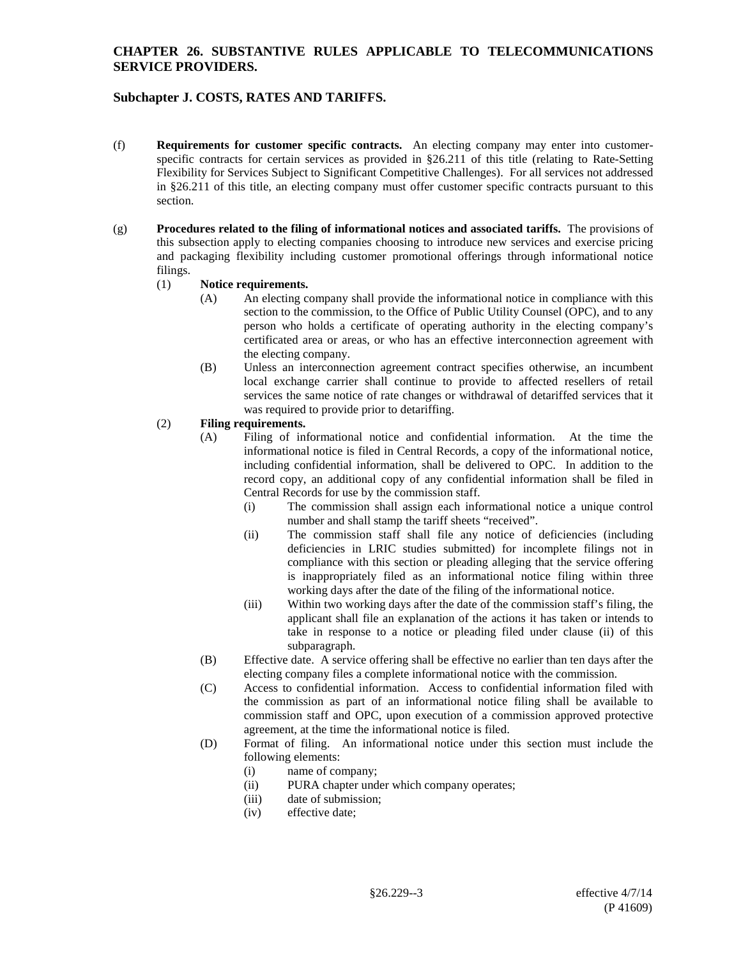# **Subchapter J. COSTS, RATES AND TARIFFS.**

- (f) **Requirements for customer specific contracts.** An electing company may enter into customerspecific contracts for certain services as provided in §26.211 of this title (relating to Rate-Setting Flexibility for Services Subject to Significant Competitive Challenges). For all services not addressed in §26.211 of this title, an electing company must offer customer specific contracts pursuant to this section.
- (g) **Procedures related to the filing of informational notices and associated tariffs.** The provisions of this subsection apply to electing companies choosing to introduce new services and exercise pricing and packaging flexibility including customer promotional offerings through informational notice filings.

#### (1) **Notice requirements.**

- (A) An electing company shall provide the informational notice in compliance with this section to the commission, to the Office of Public Utility Counsel (OPC), and to any person who holds a certificate of operating authority in the electing company's certificated area or areas, or who has an effective interconnection agreement with the electing company.
- (B) Unless an interconnection agreement contract specifies otherwise, an incumbent local exchange carrier shall continue to provide to affected resellers of retail services the same notice of rate changes or withdrawal of detariffed services that it was required to provide prior to detariffing.

## (2) **Filing requirements.**

- (A) Filing of informational notice and confidential information. At the time the informational notice is filed in Central Records, a copy of the informational notice, including confidential information, shall be delivered to OPC. In addition to the record copy, an additional copy of any confidential information shall be filed in Central Records for use by the commission staff.
	- (i) The commission shall assign each informational notice a unique control number and shall stamp the tariff sheets "received".
	- (ii) The commission staff shall file any notice of deficiencies (including deficiencies in LRIC studies submitted) for incomplete filings not in compliance with this section or pleading alleging that the service offering is inappropriately filed as an informational notice filing within three working days after the date of the filing of the informational notice.
	- (iii) Within two working days after the date of the commission staff's filing, the applicant shall file an explanation of the actions it has taken or intends to take in response to a notice or pleading filed under clause (ii) of this subparagraph.
- (B) Effective date. A service offering shall be effective no earlier than ten days after the electing company files a complete informational notice with the commission.
- (C) Access to confidential information. Access to confidential information filed with the commission as part of an informational notice filing shall be available to commission staff and OPC, upon execution of a commission approved protective agreement, at the time the informational notice is filed.
- (D) Format of filing. An informational notice under this section must include the following elements:
	- (i) name of company;
	- (ii) PURA chapter under which company operates;
	- (iii) date of submission;<br>(iv) effective date:
	- effective date: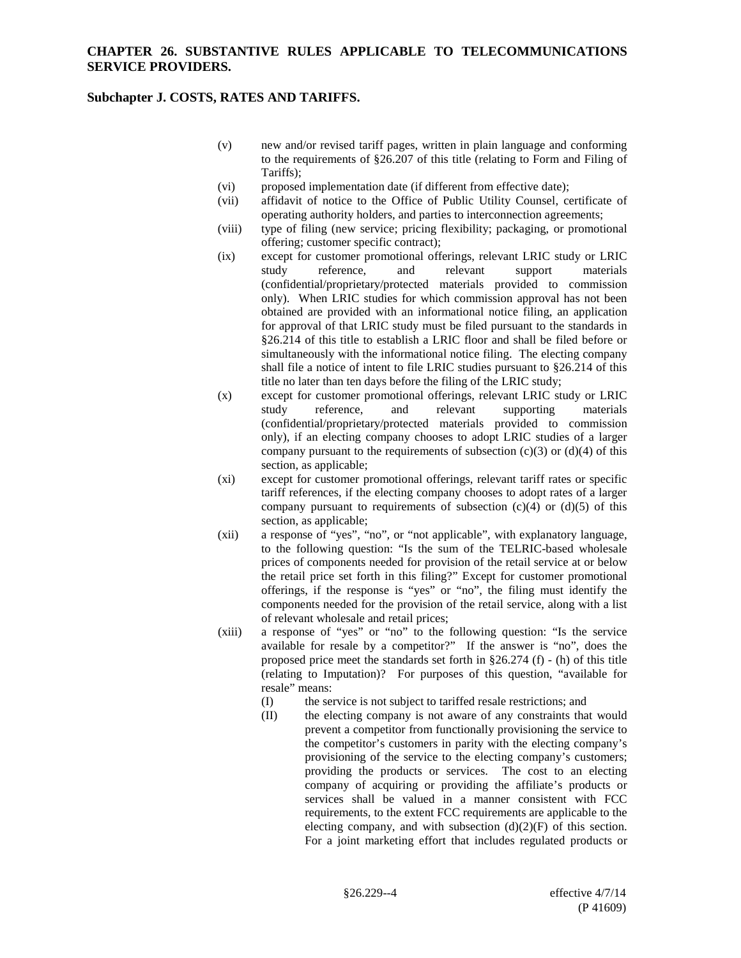## **Subchapter J. COSTS, RATES AND TARIFFS.**

- (v) new and/or revised tariff pages, written in plain language and conforming to the requirements of §26.207 of this title (relating to Form and Filing of Tariffs);
- (vi) proposed implementation date (if different from effective date);
- (vii) affidavit of notice to the Office of Public Utility Counsel, certificate of operating authority holders, and parties to interconnection agreements;
- (viii) type of filing (new service; pricing flexibility; packaging, or promotional offering; customer specific contract);
- (ix) except for customer promotional offerings, relevant LRIC study or LRIC study reference, and relevant support materials (confidential/proprietary/protected materials provided to commission only). When LRIC studies for which commission approval has not been obtained are provided with an informational notice filing, an application for approval of that LRIC study must be filed pursuant to the standards in §26.214 of this title to establish a LRIC floor and shall be filed before or simultaneously with the informational notice filing. The electing company shall file a notice of intent to file LRIC studies pursuant to §26.214 of this title no later than ten days before the filing of the LRIC study;
- (x) except for customer promotional offerings, relevant LRIC study or LRIC study reference, and relevant supporting materials (confidential/proprietary/protected materials provided to commission only), if an electing company chooses to adopt LRIC studies of a larger company pursuant to the requirements of subsection  $(c)(3)$  or  $(d)(4)$  of this section, as applicable;
- (xi) except for customer promotional offerings, relevant tariff rates or specific tariff references, if the electing company chooses to adopt rates of a larger company pursuant to requirements of subsection  $(c)(4)$  or  $(d)(5)$  of this section, as applicable;
- (xii) a response of "yes", "no", or "not applicable", with explanatory language, to the following question: "Is the sum of the TELRIC-based wholesale prices of components needed for provision of the retail service at or below the retail price set forth in this filing?" Except for customer promotional offerings, if the response is "yes" or "no", the filing must identify the components needed for the provision of the retail service, along with a list of relevant wholesale and retail prices;
- (xiii) a response of "yes" or "no" to the following question: "Is the service available for resale by a competitor?" If the answer is "no", does the proposed price meet the standards set forth in §26.274 (f) - (h) of this title (relating to Imputation)? For purposes of this question, "available for resale" means:
	- (I) the service is not subject to tariffed resale restrictions; and
	- (II) the electing company is not aware of any constraints that would prevent a competitor from functionally provisioning the service to the competitor's customers in parity with the electing company's provisioning of the service to the electing company's customers; providing the products or services. The cost to an electing company of acquiring or providing the affiliate's products or services shall be valued in a manner consistent with FCC requirements, to the extent FCC requirements are applicable to the electing company, and with subsection  $(d)(2)(F)$  of this section. For a joint marketing effort that includes regulated products or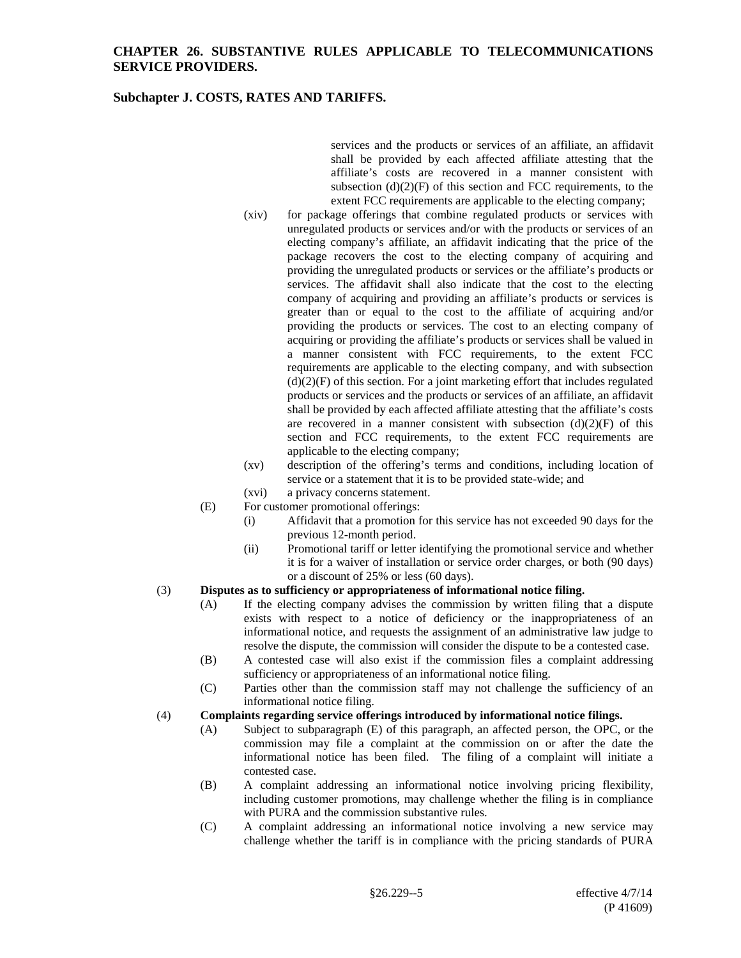### **Subchapter J. COSTS, RATES AND TARIFFS.**

services and the products or services of an affiliate, an affidavit shall be provided by each affected affiliate attesting that the affiliate's costs are recovered in a manner consistent with subsection  $(d)(2)(F)$  of this section and FCC requirements, to the extent FCC requirements are applicable to the electing company;

- (xiv) for package offerings that combine regulated products or services with unregulated products or services and/or with the products or services of an electing company's affiliate, an affidavit indicating that the price of the package recovers the cost to the electing company of acquiring and providing the unregulated products or services or the affiliate's products or services. The affidavit shall also indicate that the cost to the electing company of acquiring and providing an affiliate's products or services is greater than or equal to the cost to the affiliate of acquiring and/or providing the products or services. The cost to an electing company of acquiring or providing the affiliate's products or services shall be valued in a manner consistent with FCC requirements, to the extent FCC requirements are applicable to the electing company, and with subsection  $(d)(2)(F)$  of this section. For a joint marketing effort that includes regulated products or services and the products or services of an affiliate, an affidavit shall be provided by each affected affiliate attesting that the affiliate's costs are recovered in a manner consistent with subsection  $(d)(2)(F)$  of this section and FCC requirements, to the extent FCC requirements are applicable to the electing company;
- (xv) description of the offering's terms and conditions, including location of service or a statement that it is to be provided state-wide; and
- (xvi) a privacy concerns statement.
- (E) For customer promotional offerings:
	- (i) Affidavit that a promotion for this service has not exceeded 90 days for the previous 12-month period.
	- (ii) Promotional tariff or letter identifying the promotional service and whether it is for a waiver of installation or service order charges, or both (90 days) or a discount of 25% or less (60 days).

#### (3) **Disputes as to sufficiency or appropriateness of informational notice filing.**

- (A) If the electing company advises the commission by written filing that a dispute exists with respect to a notice of deficiency or the inappropriateness of an informational notice, and requests the assignment of an administrative law judge to resolve the dispute, the commission will consider the dispute to be a contested case.
- (B) A contested case will also exist if the commission files a complaint addressing sufficiency or appropriateness of an informational notice filing.
- (C) Parties other than the commission staff may not challenge the sufficiency of an informational notice filing.

#### (4) **Complaints regarding service offerings introduced by informational notice filings.**

- (A) Subject to subparagraph (E) of this paragraph, an affected person, the OPC, or the commission may file a complaint at the commission on or after the date the informational notice has been filed. The filing of a complaint will initiate a contested case.
- (B) A complaint addressing an informational notice involving pricing flexibility, including customer promotions, may challenge whether the filing is in compliance with PURA and the commission substantive rules.
- (C) A complaint addressing an informational notice involving a new service may challenge whether the tariff is in compliance with the pricing standards of PURA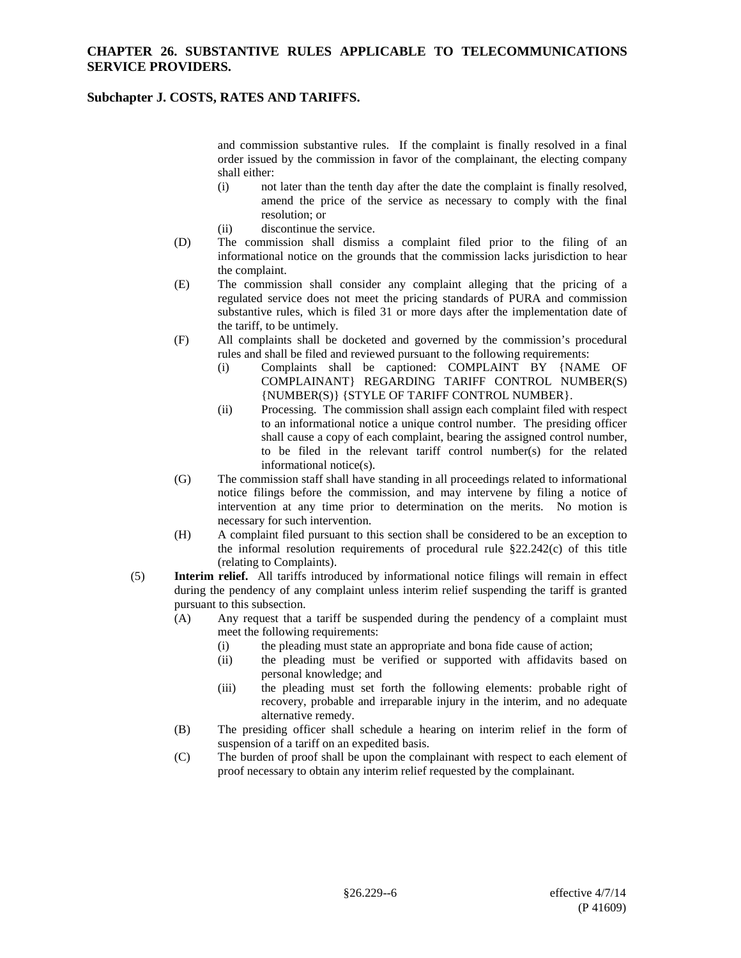### **Subchapter J. COSTS, RATES AND TARIFFS.**

and commission substantive rules. If the complaint is finally resolved in a final order issued by the commission in favor of the complainant, the electing company shall either:

- (i) not later than the tenth day after the date the complaint is finally resolved, amend the price of the service as necessary to comply with the final resolution; or
- (ii) discontinue the service.
- (D) The commission shall dismiss a complaint filed prior to the filing of an informational notice on the grounds that the commission lacks jurisdiction to hear the complaint.
- (E) The commission shall consider any complaint alleging that the pricing of a regulated service does not meet the pricing standards of PURA and commission substantive rules, which is filed 31 or more days after the implementation date of the tariff, to be untimely.
- (F) All complaints shall be docketed and governed by the commission's procedural rules and shall be filed and reviewed pursuant to the following requirements:
	- (i) Complaints shall be captioned: COMPLAINT BY {NAME OF COMPLAINANT} REGARDING TARIFF CONTROL NUMBER(S) {NUMBER(S)} {STYLE OF TARIFF CONTROL NUMBER}.
	- (ii) Processing. The commission shall assign each complaint filed with respect to an informational notice a unique control number. The presiding officer shall cause a copy of each complaint, bearing the assigned control number, to be filed in the relevant tariff control number(s) for the related informational notice(s).
- (G) The commission staff shall have standing in all proceedings related to informational notice filings before the commission, and may intervene by filing a notice of intervention at any time prior to determination on the merits. No motion is necessary for such intervention.
- (H) A complaint filed pursuant to this section shall be considered to be an exception to the informal resolution requirements of procedural rule §22.242(c) of this title (relating to Complaints).
- (5) **Interim relief.** All tariffs introduced by informational notice filings will remain in effect during the pendency of any complaint unless interim relief suspending the tariff is granted pursuant to this subsection.
	- (A) Any request that a tariff be suspended during the pendency of a complaint must meet the following requirements:
		- (i) the pleading must state an appropriate and bona fide cause of action;
		- (ii) the pleading must be verified or supported with affidavits based on personal knowledge; and
		- (iii) the pleading must set forth the following elements: probable right of recovery, probable and irreparable injury in the interim, and no adequate alternative remedy.
	- (B) The presiding officer shall schedule a hearing on interim relief in the form of suspension of a tariff on an expedited basis.
	- (C) The burden of proof shall be upon the complainant with respect to each element of proof necessary to obtain any interim relief requested by the complainant.